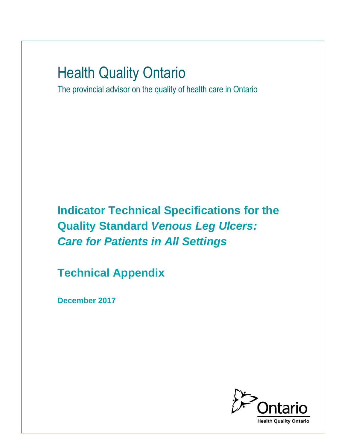# Health Quality Ontario

The provincial advisor on the quality of health care in Ontario

**Indicator Technical Specifications for the Quality Standard** *Venous Leg Ulcers: Care for Patients in All Settings*

**Technical Appendix**

**December 2017**

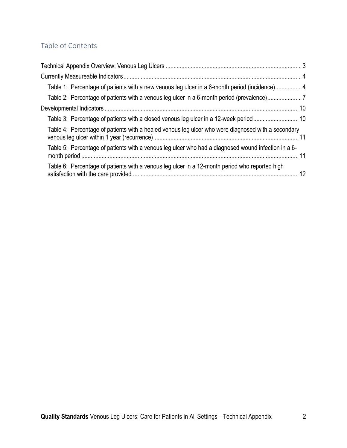# Table of Contents

| Table 1: Percentage of patients with a new venous leg ulcer in a 6-month period (incidence)4        |  |
|-----------------------------------------------------------------------------------------------------|--|
| Table 2: Percentage of patients with a venous leg ulcer in a 6-month period (prevalence)7           |  |
|                                                                                                     |  |
| Table 3: Percentage of patients with a closed venous leg ulcer in a 12-week period10                |  |
| Table 4: Percentage of patients with a healed venous leg ulcer who were diagnosed with a secondary  |  |
| Table 5: Percentage of patients with a venous leg ulcer who had a diagnosed wound infection in a 6- |  |
| Table 6: Percentage of patients with a venous leg ulcer in a 12-month period who reported high      |  |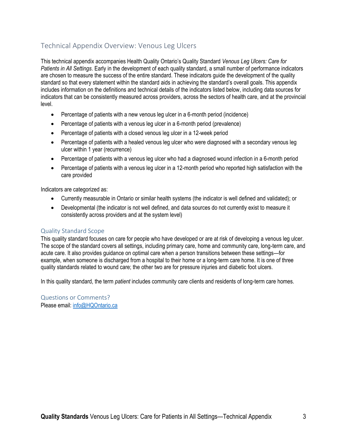## Technical Appendix Overview: Venous Leg Ulcers

This technical appendix accompanies Health Quality Ontario's Quality Standard *Venous Leg Ulcers: Care for Patients in All Settings*. Early in the development of each quality standard, a small number of performance indicators are chosen to measure the success of the entire standard. These indicators guide the development of the quality standard so that every statement within the standard aids in achieving the standard's overall goals. This appendix includes information on the definitions and technical details of the indicators listed below, including data sources for indicators that can be consistently measured across providers, across the sectors of health care, and at the provincial level.

- Percentage of patients with a new venous leg ulcer in a 6-month period (incidence)
- Percentage of patients with a venous leg ulcer in a 6-month period (prevalence)
- Percentage of patients with a closed venous leg ulcer in a 12-week period
- Percentage of patients with a healed venous leg ulcer who were diagnosed with a secondary venous leg ulcer within 1 year (recurrence)
- Percentage of patients with a venous leg ulcer who had a diagnosed wound infection in a 6-month period
- Percentage of patients with a venous leg ulcer in a 12-month period who reported high satisfaction with the care provided

Indicators are categorized as:

- Currently measurable in Ontario or similar health systems (the indicator is well defined and validated); or
- Developmental (the indicator is not well defined, and data sources do not currently exist to measure it consistently across providers and at the system level)

#### Quality Standard Scope

This quality standard focuses on care for people who have developed or are at risk of developing a venous leg ulcer. The scope of the standard covers all settings, including primary care, home and community care, long-term care, and acute care. It also provides guidance on optimal care when a person transitions between these settings—for example, when someone is discharged from a hospital to their home or a long-term care home. It is one of three quality standards related to wound care; the other two are for pressure injuries and diabetic foot ulcers.

In this quality standard, the term *patient* includes community care clients and residents of long-term care homes.

Questions or Comments? Please email[: info@HQOntario.ca](mailto:info@hqontario.ca)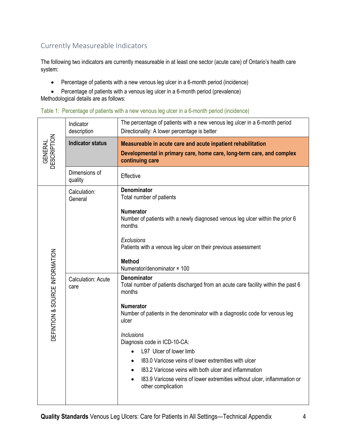## Currently Measureable Indicators

The following two indicators are currently measureable in at least one sector (acute care) of Ontario's health care system:

- Percentage of patients with a new venous leg ulcer in a 6-month period (incidence)
- Percentage of patients with a venous leg ulcer in a 6-month period (prevalence)

Methodological details are as follows:

| Table 1: Percentage of patients with a new venous leg ulcer in a 6-month period (incidence) |  |  |  |  |  |  |  |  |  |  |  |  |
|---------------------------------------------------------------------------------------------|--|--|--|--|--|--|--|--|--|--|--|--|
|---------------------------------------------------------------------------------------------|--|--|--|--|--|--|--|--|--|--|--|--|

| Indicator<br>description          | The percentage of patients with a new venous leg ulcer in a 6-month period<br>Directionality: A lower percentage is better                                           |
|-----------------------------------|----------------------------------------------------------------------------------------------------------------------------------------------------------------------|
| <b>Indicator status</b>           | Measureable in acute care and acute inpatient rehabilitation<br>Developmental in primary care, home care, long-term care, and complex<br>continuing care             |
| Dimensions of<br>quality          | Effective                                                                                                                                                            |
| Calculation:<br>General           | <b>Denominator</b><br>Total number of patients<br><b>Numerator</b>                                                                                                   |
|                                   | Number of patients with a newly diagnosed venous leg ulcer within the prior 6<br>months<br>Exclusions                                                                |
|                                   | Patients with a venous leg ulcer on their previous assessment<br><b>Method</b><br>Numerator/denominator × 100                                                        |
| <b>Calculation: Acute</b><br>care | <b>Denominator</b><br>Total number of patients discharged from an acute care facility within the past 6<br>months                                                    |
|                                   | <b>Numerator</b><br>Number of patients in the denominator with a diagnostic code for venous leg<br>ulcer                                                             |
|                                   | <b>Inclusions</b><br>Diagnosis code in ICD-10-CA:<br>L97 Ulcer of lower limb                                                                                         |
|                                   | 183.0 Varicose veins of lower extremities with ulcer<br>$\bullet$                                                                                                    |
|                                   | 183.2 Varicose veins with both ulcer and inflammation<br>183.9 Varicose veins of lower extremities without ulcer, inflammation or<br>$\bullet$<br>other complication |
|                                   |                                                                                                                                                                      |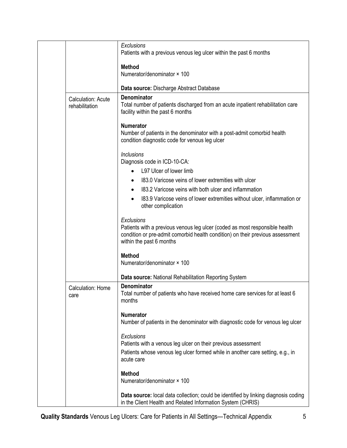|                                      | Exclusions<br>Patients with a previous venous leg ulcer within the past 6 months                                                                                                                        |
|--------------------------------------|---------------------------------------------------------------------------------------------------------------------------------------------------------------------------------------------------------|
|                                      | <b>Method</b>                                                                                                                                                                                           |
|                                      | Numerator/denominator × 100                                                                                                                                                                             |
|                                      | Data source: Discharge Abstract Database                                                                                                                                                                |
| Calculation: Acute<br>rehabilitation | <b>Denominator</b><br>Total number of patients discharged from an acute inpatient rehabilitation care<br>facility within the past 6 months                                                              |
|                                      | <b>Numerator</b><br>Number of patients in the denominator with a post-admit comorbid health<br>condition diagnostic code for venous leg ulcer                                                           |
|                                      | <b>Inclusions</b><br>Diagnosis code in ICD-10-CA:                                                                                                                                                       |
|                                      | L97 Ulcer of lower limb<br>$\bullet$                                                                                                                                                                    |
|                                      | 183.0 Varicose veins of lower extremities with ulcer                                                                                                                                                    |
|                                      | 183.2 Varicose veins with both ulcer and inflammation                                                                                                                                                   |
|                                      | 183.9 Varicose veins of lower extremities without ulcer, inflammation or<br>$\bullet$<br>other complication                                                                                             |
|                                      | Exclusions<br>Patients with a previous venous leg ulcer (coded as most responsible health<br>condition or pre-admit comorbid health condition) on their previous assessment<br>within the past 6 months |
|                                      | <b>Method</b><br>Numerator/denominator × 100                                                                                                                                                            |
|                                      | Data source: National Rehabilitation Reporting System                                                                                                                                                   |
| Calculation: Home<br>care            | <b>Denominator</b><br>Total number of patients who have received home care services for at least 6<br>months                                                                                            |
|                                      | <b>Numerator</b><br>Number of patients in the denominator with diagnostic code for venous leg ulcer                                                                                                     |
|                                      | Exclusions<br>Patients with a venous leg ulcer on their previous assessment<br>Patients whose venous leg ulcer formed while in another care setting, e.g., in<br>acute care                             |
|                                      | <b>Method</b><br>Numerator/denominator × 100                                                                                                                                                            |
|                                      | Data source: local data collection; could be identified by linking diagnosis coding<br>in the Client Health and Related Information System (CHRIS)                                                      |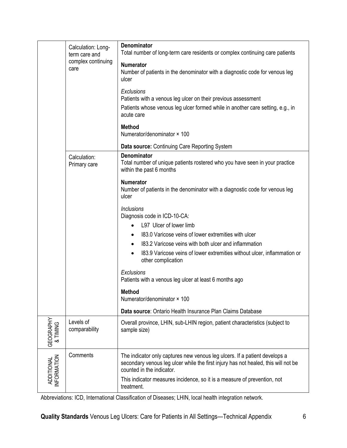|                                  | Calculation: Long-<br>term care and<br>complex continuing<br>care<br>Calculation:<br>Primary care | Denominator<br>Total number of long-term care residents or complex continuing care patients<br><b>Numerator</b><br>Number of patients in the denominator with a diagnostic code for venous leg<br>ulcer<br>Exclusions<br>Patients with a venous leg ulcer on their previous assessment<br>Patients whose venous leg ulcer formed while in another care setting, e.g., in<br>acute care<br><b>Method</b><br>Numerator/denominator × 100<br>Data source: Continuing Care Reporting System<br><b>Denominator</b><br>Total number of unique patients rostered who you have seen in your practice                                                                                      |
|----------------------------------|---------------------------------------------------------------------------------------------------|-----------------------------------------------------------------------------------------------------------------------------------------------------------------------------------------------------------------------------------------------------------------------------------------------------------------------------------------------------------------------------------------------------------------------------------------------------------------------------------------------------------------------------------------------------------------------------------------------------------------------------------------------------------------------------------|
|                                  |                                                                                                   | within the past 6 months<br><b>Numerator</b><br>Number of patients in the denominator with a diagnostic code for venous leg<br>ulcer<br><b>Inclusions</b><br>Diagnosis code in ICD-10-CA:<br>L97 Ulcer of lower limb<br>$\bullet$<br>183.0 Varicose veins of lower extremities with ulcer<br>$\bullet$<br>183.2 Varicose veins with both ulcer and inflammation<br>$\bullet$<br>183.9 Varicose veins of lower extremities without ulcer, inflammation or<br>$\bullet$<br>other complication<br>Exclusions<br>Patients with a venous leg ulcer at least 6 months ago<br><b>Method</b><br>Numerator/denominator × 100<br>Data source: Ontario Health Insurance Plan Claims Database |
| GEOGRAPHY<br>& TIMING            | Levels of<br>comparability                                                                        | Overall province, LHIN, sub-LHIN region, patient characteristics (subject to<br>sample size)                                                                                                                                                                                                                                                                                                                                                                                                                                                                                                                                                                                      |
| INFORMATION<br><b>ADDITIONAL</b> | Comments                                                                                          | The indicator only captures new venous leg ulcers. If a patient develops a<br>secondary venous leg ulcer while the first injury has not healed, this will not be<br>counted in the indicator.<br>This indicator measures incidence, so it is a measure of prevention, not<br>treatment.                                                                                                                                                                                                                                                                                                                                                                                           |

Abbreviations: ICD, International Classification of Diseases; LHIN, local health integration network.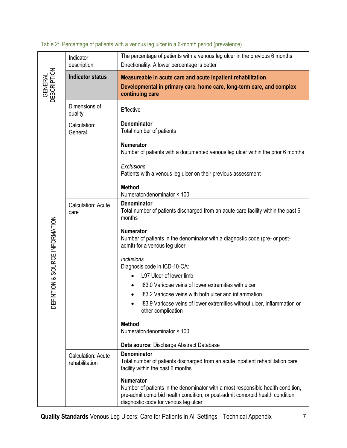|                                | Indicator<br>description                    | The percentage of patients with a venous leg ulcer in the previous 6 months<br>Directionality: A lower percentage is better                                                                                                                                                                                                                                                                                                                                                                                                                                               |
|--------------------------------|---------------------------------------------|---------------------------------------------------------------------------------------------------------------------------------------------------------------------------------------------------------------------------------------------------------------------------------------------------------------------------------------------------------------------------------------------------------------------------------------------------------------------------------------------------------------------------------------------------------------------------|
| <b>GENERAL</b><br>DESCRIPTION  | <b>Indicator status</b>                     | Measureable in acute care and acute inpatient rehabilitation<br>Developmental in primary care, home care, long-term care, and complex<br>continuing care                                                                                                                                                                                                                                                                                                                                                                                                                  |
|                                | Dimensions of<br>quality                    | Effective                                                                                                                                                                                                                                                                                                                                                                                                                                                                                                                                                                 |
|                                | Calculation:<br>General                     | <b>Denominator</b><br>Total number of patients                                                                                                                                                                                                                                                                                                                                                                                                                                                                                                                            |
|                                |                                             | <b>Numerator</b><br>Number of patients with a documented venous leg ulcer within the prior 6 months                                                                                                                                                                                                                                                                                                                                                                                                                                                                       |
|                                |                                             | Exclusions<br>Patients with a venous leg ulcer on their previous assessment                                                                                                                                                                                                                                                                                                                                                                                                                                                                                               |
|                                |                                             | <b>Method</b><br>Numerator/denominator × 100                                                                                                                                                                                                                                                                                                                                                                                                                                                                                                                              |
| DEFINTION & SOURCE INFORMATION | <b>Calculation: Acute</b><br>care           | <b>Denominator</b><br>Total number of patients discharged from an acute care facility within the past 6<br>months<br><b>Numerator</b><br>Number of patients in the denominator with a diagnostic code (pre- or post-<br>admit) for a venous leg ulcer<br><b>Inclusions</b><br>Diagnosis code in ICD-10-CA:<br>L97 Ulcer of lower limb<br>183.0 Varicose veins of lower extremities with ulcer<br>183.2 Varicose veins with both ulcer and inflammation<br>183.9 Varicose veins of lower extremities without ulcer, inflammation or<br>other complication<br><b>Method</b> |
|                                |                                             | Numerator/denominator × 100<br>Data source: Discharge Abstract Database                                                                                                                                                                                                                                                                                                                                                                                                                                                                                                   |
|                                | <b>Calculation: Acute</b><br>rehabilitation | <b>Denominator</b><br>Total number of patients discharged from an acute inpatient rehabilitation care<br>facility within the past 6 months                                                                                                                                                                                                                                                                                                                                                                                                                                |
|                                |                                             | <b>Numerator</b><br>Number of patients in the denominator with a most responsible health condition,<br>pre-admit comorbid health condition, or post-admit comorbid health condition<br>diagnostic code for venous leg ulcer                                                                                                                                                                                                                                                                                                                                               |

### Table 2: Percentage of patients with a venous leg ulcer in a 6-month period (prevalence)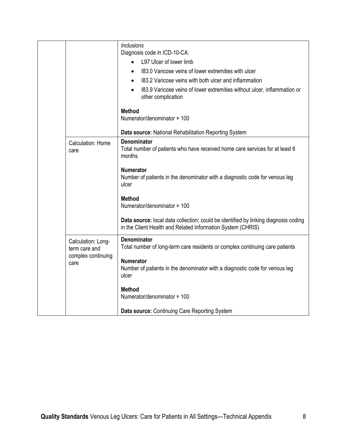|                                                                   | <b>Inclusions</b><br>Diagnosis code in ICD-10-CA:                                                                                                  |
|-------------------------------------------------------------------|----------------------------------------------------------------------------------------------------------------------------------------------------|
|                                                                   | L97 Ulcer of lower limb<br>$\bullet$                                                                                                               |
|                                                                   | 183.0 Varicose veins of lower extremities with ulcer<br>$\bullet$                                                                                  |
|                                                                   | 183.2 Varicose veins with both ulcer and inflammation                                                                                              |
|                                                                   | $\bullet$                                                                                                                                          |
|                                                                   | 183.9 Varicose veins of lower extremities without ulcer, inflammation or<br>$\bullet$<br>other complication                                        |
|                                                                   | <b>Method</b>                                                                                                                                      |
|                                                                   | Numerator/denominator × 100                                                                                                                        |
|                                                                   | Data source: National Rehabilitation Reporting System                                                                                              |
| Calculation: Home<br>care                                         | <b>Denominator</b><br>Total number of patients who have received home care services for at least 6<br>months                                       |
|                                                                   | <b>Numerator</b><br>Number of patients in the denominator with a diagnostic code for venous leg<br>ulcer                                           |
|                                                                   | <b>Method</b><br>Numerator/denominator × 100                                                                                                       |
|                                                                   | Data source: local data collection; could be identified by linking diagnosis coding<br>in the Client Health and Related Information System (CHRIS) |
| Calculation: Long-<br>term care and<br>complex continuing<br>care | Denominator<br>Total number of long-term care residents or complex continuing care patients                                                        |
|                                                                   | <b>Numerator</b><br>Number of patients in the denominator with a diagnostic code for venous leg<br>ulcer                                           |
|                                                                   | <b>Method</b><br>Numerator/denominator × 100                                                                                                       |
|                                                                   | Data source: Continuing Care Reporting System                                                                                                      |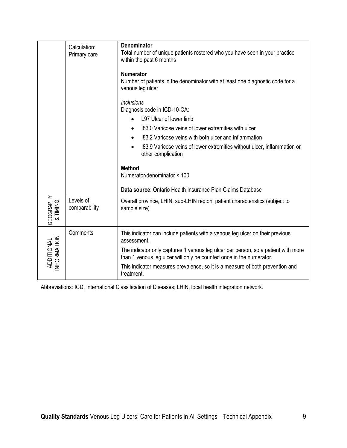| Calculation:<br>Primary care                               | Total number of unique patients rostered who you have seen in your practice<br>within the past 6 months<br><b>Numerator</b><br>Number of patients in the denominator with at least one diagnostic code for a<br>venous leg ulcer<br><b>Inclusions</b><br>Diagnosis code in ICD-10-CA:<br>L97 Ulcer of lower limb<br>183.0 Varicose veins of lower extremities with ulcer<br>$\bullet$<br>183.2 Varicose veins with both ulcer and inflammation<br>$\bullet$<br>183.9 Varicose veins of lower extremities without ulcer, inflammation or<br>other complication |
|------------------------------------------------------------|---------------------------------------------------------------------------------------------------------------------------------------------------------------------------------------------------------------------------------------------------------------------------------------------------------------------------------------------------------------------------------------------------------------------------------------------------------------------------------------------------------------------------------------------------------------|
|                                                            | <b>Method</b><br>Numerator/denominator × 100                                                                                                                                                                                                                                                                                                                                                                                                                                                                                                                  |
|                                                            | Data source: Ontario Health Insurance Plan Claims Database                                                                                                                                                                                                                                                                                                                                                                                                                                                                                                    |
| <b>GEOGRAPHY</b><br>Levels of<br>& TIMING<br>comparability | Overall province, LHIN, sub-LHIN region, patient characteristics (subject to<br>sample size)                                                                                                                                                                                                                                                                                                                                                                                                                                                                  |
| Comments<br><b>INFORMATION</b><br><b>ADDITIONAL</b>        | This indicator can include patients with a venous leg ulcer on their previous<br>assessment.<br>The indicator only captures 1 venous leg ulcer per person, so a patient with more<br>than 1 venous leg ulcer will only be counted once in the numerator.<br>This indicator measures prevalence, so it is a measure of both prevention and<br>treatment.                                                                                                                                                                                                       |

Abbreviations: ICD, International Classification of Diseases; LHIN, local health integration network.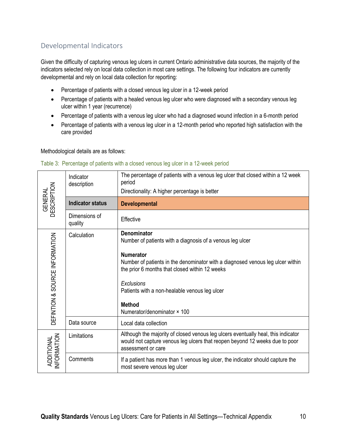## Developmental Indicators

Given the difficulty of capturing venous leg ulcers in current Ontario administrative data sources, the majority of the indicators selected rely on local data collection in most care settings. The following four indicators are currently developmental and rely on local data collection for reporting:

- Percentage of patients with a closed venous leg ulcer in a 12-week period
- Percentage of patients with a healed venous leg ulcer who were diagnosed with a secondary venous leg ulcer within 1 year (recurrence)
- Percentage of patients with a venous leg ulcer who had a diagnosed wound infection in a 6-month period
- Percentage of patients with a venous leg ulcer in a 12-month period who reported high satisfaction with the care provided

Methodological details are as follows:

| <b>GENERAL</b><br>DESCRIPTION  | Indicator<br>description | The percentage of patients with a venous leg ulcer that closed within a 12 week<br>period<br>Directionality: A higher percentage is better                                                                                                                                                                                                             |
|--------------------------------|--------------------------|--------------------------------------------------------------------------------------------------------------------------------------------------------------------------------------------------------------------------------------------------------------------------------------------------------------------------------------------------------|
|                                | <b>Indicator status</b>  | <b>Developmental</b>                                                                                                                                                                                                                                                                                                                                   |
|                                | Dimensions of<br>quality | Effective                                                                                                                                                                                                                                                                                                                                              |
| DEFINTION & SOURCE INFORMATION | Calculation              | <b>Denominator</b><br>Number of patients with a diagnosis of a venous leg ulcer<br><b>Numerator</b><br>Number of patients in the denominator with a diagnosed venous leg ulcer within<br>the prior 6 months that closed within 12 weeks<br>Exclusions<br>Patients with a non-healable venous leg ulcer<br><b>Method</b><br>Numerator/denominator × 100 |
|                                | Data source              | Local data collection                                                                                                                                                                                                                                                                                                                                  |
| ADDITIONAL<br>INFORMATION      | Limitations              | Although the majority of closed venous leg ulcers eventually heal, this indicator<br>would not capture venous leg ulcers that reopen beyond 12 weeks due to poor<br>assessment or care                                                                                                                                                                 |
|                                | Comments                 | If a patient has more than 1 venous leg ulcer, the indicator should capture the<br>most severe venous leg ulcer                                                                                                                                                                                                                                        |

#### Table 3: Percentage of patients with a closed venous leg ulcer in a 12-week period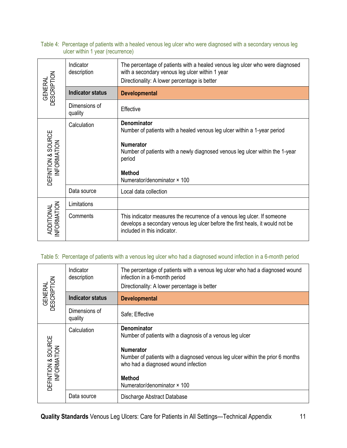#### Table 4: Percentage of patients with a healed venous leg ulcer who were diagnosed with a secondary venous leg ulcer within 1 year (recurrence)

| <b>GENERAL</b><br>DESCRIPTION     | Indicator<br>description | The percentage of patients with a healed venous leg ulcer who were diagnosed<br>with a secondary venous leg ulcer within 1 year<br>Directionality: A lower percentage is better                                                                       |
|-----------------------------------|--------------------------|-------------------------------------------------------------------------------------------------------------------------------------------------------------------------------------------------------------------------------------------------------|
|                                   | <b>Indicator status</b>  | <b>Developmental</b>                                                                                                                                                                                                                                  |
|                                   | Dimensions of<br>quality | Effective                                                                                                                                                                                                                                             |
| DEFINTION & SOURCE<br>INFORMATION | Calculation              | Denominator<br>Number of patients with a healed venous leg ulcer within a 1-year period<br><b>Numerator</b><br>Number of patients with a newly diagnosed venous leg ulcer within the 1-year<br>period<br><b>Method</b><br>Numerator/denominator × 100 |
|                                   | Data source              | Local data collection                                                                                                                                                                                                                                 |
|                                   | Limitations              |                                                                                                                                                                                                                                                       |
| ADDITIONAL<br>INFORMATION         | Comments                 | This indicator measures the recurrence of a venous leg ulcer. If someone<br>develops a secondary venous leg ulcer before the first heals, it would not be<br>included in this indicator.                                                              |

## Table 5: Percentage of patients with a venous leg ulcer who had a diagnosed wound infection in a 6-month period

| <b>GENERAL</b><br>DESCRIPTION     | Indicator<br>description | The percentage of patients with a venous leg ulcer who had a diagnosed wound<br>infection in a 6-month period<br>Directionality: A lower percentage is better                                                                                                                |
|-----------------------------------|--------------------------|------------------------------------------------------------------------------------------------------------------------------------------------------------------------------------------------------------------------------------------------------------------------------|
|                                   | <b>Indicator status</b>  | <b>Developmental</b>                                                                                                                                                                                                                                                         |
|                                   | Dimensions of<br>quality | Safe; Effective                                                                                                                                                                                                                                                              |
| DEFINTION & SOURCE<br>INFORMATION | Calculation              | <b>Denominator</b><br>Number of patients with a diagnosis of a venous leg ulcer<br><b>Numerator</b><br>Number of patients with a diagnosed venous leg ulcer within the prior 6 months<br>who had a diagnosed wound infection<br><b>Method</b><br>Numerator/denominator × 100 |
|                                   | Data source              | Discharge Abstract Database                                                                                                                                                                                                                                                  |